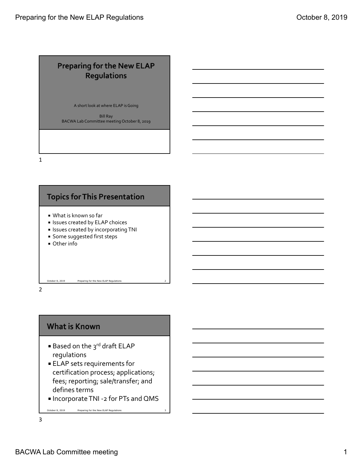### **Preparing for the New ELAP Regulations**

A short look at where ELAP isGoing

Bill Ray BACWA Lab Committee meeting October 8, 2019

1



2

#### **What is Known**

- Based on the 3<sup>rd</sup> draft ELAP regulations
- ELAP sets requirements for certification process; applications; fees; reporting; sale/transfer; and defines terms
- Incorporate TNI -2 for PTs and QMS

October 8, 2019 Preparing for the New ELAP Regulations 3 3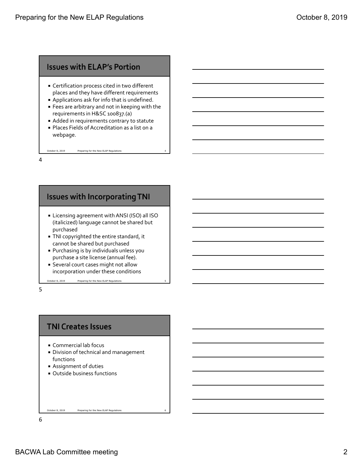#### **Issues with ELAP's Portion**

- Certification process cited in two different places and they have different requirements
- Applications ask for info that is undefined.
- Fees are arbitrary and not in keeping with the requirements in H&SC 100837.(a)
- Added in requirements contrary to statute Places Fields of Accreditation as a list on a

October 8, 2019 Preparing for the New ELAP Regulations

webpage.

4

### **Issues with Incorporating TNI**

- Licensing agreement withANSI (ISO) all ISO (italicized) language cannot be shared but purchased
- TNI copyrighted the entire standard, it cannot be shared but purchased
- Purchasing is by individuals unless you purchase a site license (annual fee).
- Several court cases might not allow incorporation under these conditions

October 8, 2019 Preparing for the New ELAP Regulations

5

#### **TNI Creates Issues**

- Commercial lab focus
- Division of technical and management functions
- Assignment of duties
- Outside business functions

October 8, 2019 Preparing for the New ELAP Regulations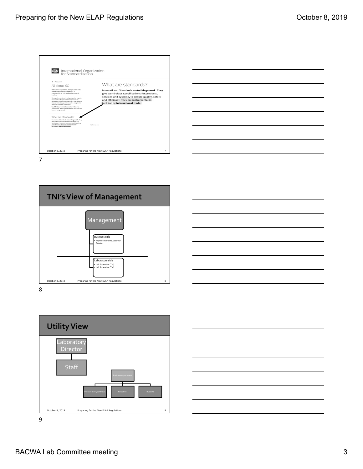



7





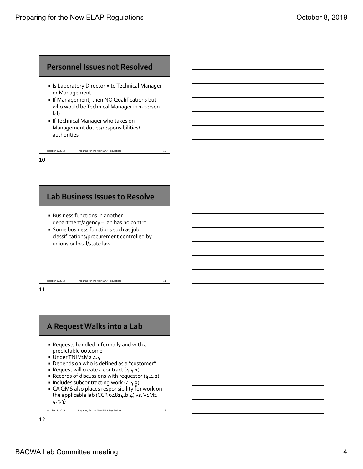#### **Personnel Issues not Resolved**

- Is Laboratory Director = toTechnical Manager or Management
- **If Management, then NO Qualifications but** who would be Technical Manager in 1-person lab
- **If Technical Manager who takes on** Management duties/responsibilities/ authorities

October 8, 2019 Preparing for the New ELAP Regulations

10



11



- Requests handled informally and with a predictable outcome
- Under TNIV1M2 4.4
- Depends on who is defined as a "customer"
- Request will create a contract  $(4.4.1)$
- Records of discussions with requestor (4.4.2)
- Includes subcontracting work  $(4.4.3)$
- CA QMS also places responsibility for work on the applicable lab (CCR  $64814.b.4$ ) vs. V1M2 4.5.3)

October 8, 2019 Preparing for the New ELAP Regulations 12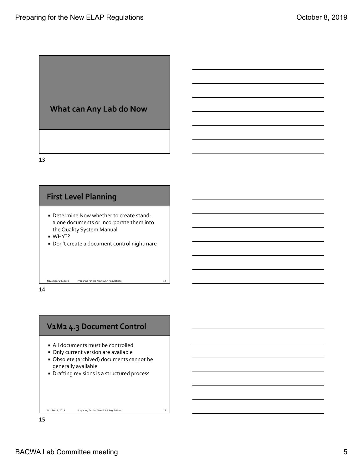

13



14

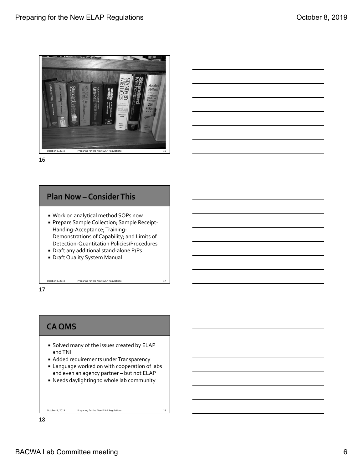

16



- Work on analytical method SOPs now
- Prepare Sample Collection; Sample Receipt-Handing-Acceptance; Training-Demonstrations of Capability; and Limits of Detection‐Quantitation Policies/Procedures
- Draft any additional stand-alone P/Ps
- Draft Quality System Manual

October 8, 2019 Preparing for the New ELAP Regulations 17

17

# **CA QMS**

- **Solved many of the issues created by ELAP** andTNI
- **Added requirements under Transparency**
- Language worked on with cooperation of labs and even an agency partner – but not ELAP
- Needs daylighting to whole lab community

October 8, 2019 Preparing for the New ELAP Regulations 18